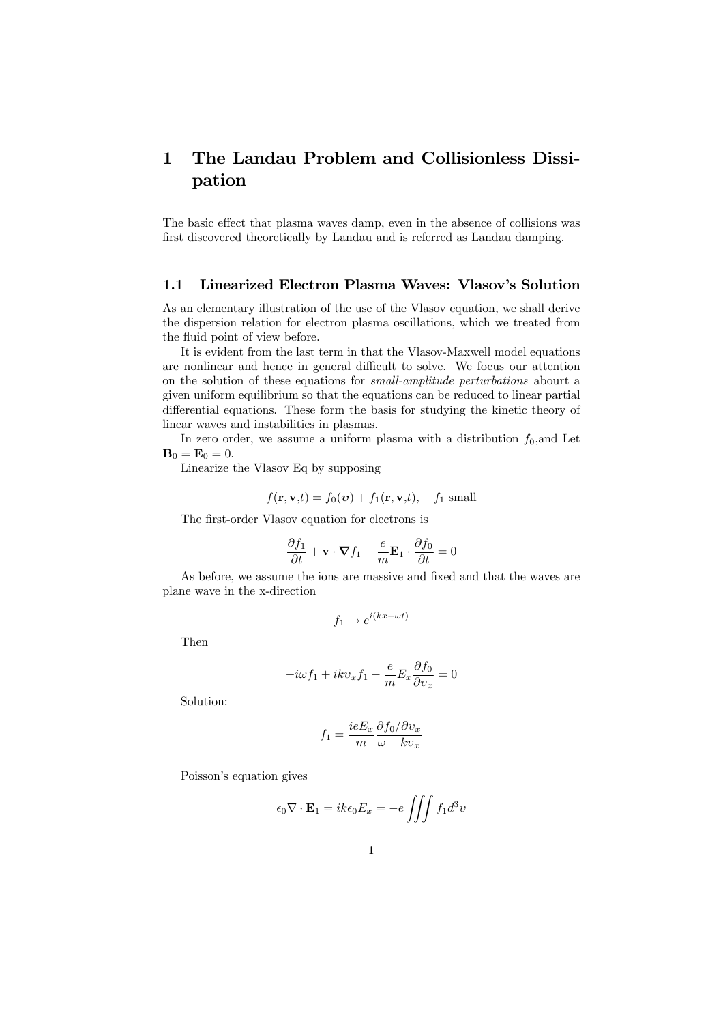# 1 The Landau Problem and Collisionless Dissipation

The basic effect that plasma waves damp, even in the absence of collisions was first discovered theoretically by Landau and is referred as Landau damping.

# 1.1 Linearized Electron Plasma Waves: Vlasov's Solution

As an elementary illustration of the use of the Vlasov equation, we shall derive the dispersion relation for electron plasma oscillations, which we treated from the fluid point of view before.

It is evident from the last term in that the Vlasov-Maxwell model equations are nonlinear and hence in general difficult to solve. We focus our attention on the solution of these equations for small-amplitude perturbations abourt a given uniform equilibrium so that the equations can be reduced to linear partial differential equations. These form the basis for studying the kinetic theory of linear waves and instabilities in plasmas.

In zero order, we assume a uniform plasma with a distribution  $f_0$ , and Let  $\mathbf{B}_0 = \mathbf{E}_0 = 0.$ 

Linearize the Vlasov Eq by supposing

$$
f(\mathbf{r}, \mathbf{v},t) = f_0(\mathbf{v}) + f_1(\mathbf{r}, \mathbf{v},t), \quad f_1 \text{ small}
$$

The first-order Vlasov equation for electrons is

$$
\frac{\partial f_1}{\partial t} + \mathbf{v} \cdot \nabla f_1 - \frac{e}{m} \mathbf{E}_1 \cdot \frac{\partial f_0}{\partial t} = 0
$$

As before, we assume the ions are massive and fixed and that the waves are plane wave in the x-direction

$$
f_1 \to e^{i(kx - \omega t)}
$$

Then

$$
-i\omega f_1 + ikv_x f_1 - \frac{e}{m} E_x \frac{\partial f_0}{\partial v_x} = 0
$$

Solution:

$$
f_1 = \frac{ieE_x}{m} \frac{\partial f_0 / \partial v_x}{\omega - k v_x}
$$

Poisson's equation gives

$$
\epsilon_0 \nabla \cdot \mathbf{E}_1 = i k \epsilon_0 E_x = -e \iiint f_1 d^3 v
$$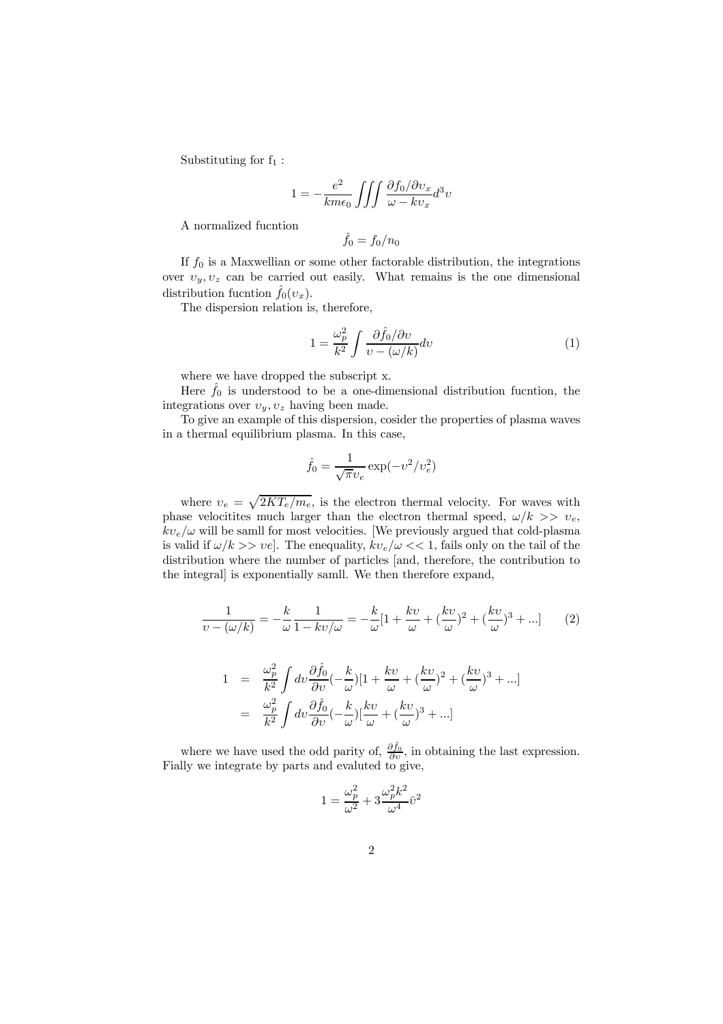Substituting for  $f_1$ :

$$
1 = -\frac{e^2}{km\epsilon_0} \iiint \frac{\partial f_0/\partial v_x}{\omega - kv_x} d^3v
$$

A normalized fucntion

$$
f_0=f_0/n_0
$$

If  $f_0$  is a Maxwellian or some other factorable distribution, the integrations over  $v_y, v_z$  can be carried out easily. What remains is the one dimensional distribution fucntion  $f_0(v_x)$ .

The dispersion relation is, therefore,

$$
1 = \frac{\omega_p^2}{k^2} \int \frac{\partial \hat{f}_0 / \partial \upsilon}{\upsilon - (\omega/k)} d\upsilon \tag{1}
$$

where we have dropped the subscript x.

Here  $f_0$  is understood to be a one-dimensional distribution fucntion, the integrations over  $v_y, v_z$  having been made.

To give an example of this dispersion, cosider the properties of plasma waves in a thermal equilibrium plasma. In this case,

$$
\hat{f}_0 = \frac{1}{\sqrt{\pi}v_e} \exp(-v^2/v_e^2)
$$

where  $v_e = \sqrt{2KT_e/m_e}$ , is the electron thermal velocity. For waves with phase velocitites much larger than the electron thermal speed,  $\omega/k \gg v_e$ ,  $kv_e/\omega$  will be samll for most velocities. [We previously argued that cold-plasma is valid if  $\omega/k >> \nu e$ . The enequality,  $kv_e/\omega << 1$ , fails only on the tail of the distribution where the number of particles [and, therefore, the contribution to the integral] is exponentially samll. We then therefore expand,

$$
\frac{1}{v - (\omega/k)} = -\frac{k}{\omega} \frac{1}{1 - kv/\omega} = -\frac{k}{\omega} [1 + \frac{kv}{\omega} + (\frac{kv}{\omega})^2 + (\frac{kv}{\omega})^3 + \dots] \tag{2}
$$

$$
1 = \frac{\omega_p^2}{k^2} \int dv \frac{\partial \hat{f}_0}{\partial v} \left(-\frac{k}{\omega}\right) \left[1 + \frac{kv}{\omega} + \left(\frac{kv}{\omega}\right)^2 + \left(\frac{kv}{\omega}\right)^3 + \ldots\right]
$$
  
= 
$$
\frac{\omega_p^2}{k^2} \int dv \frac{\partial \hat{f}_0}{\partial v} \left(-\frac{k}{\omega}\right) \left[\frac{kv}{\omega} + \left(\frac{kv}{\omega}\right)^3 + \ldots\right]
$$

where we have used the odd parity of,  $\frac{\partial \hat{f}_0}{\partial v}$ , in obtaining the last expression. Fially we integrate by parts and evaluted to give,

$$
1=\frac{\omega_p^2}{\omega^2}+3\frac{\omega_p^2k^2}{\omega^4}\bar{\upsilon}^2
$$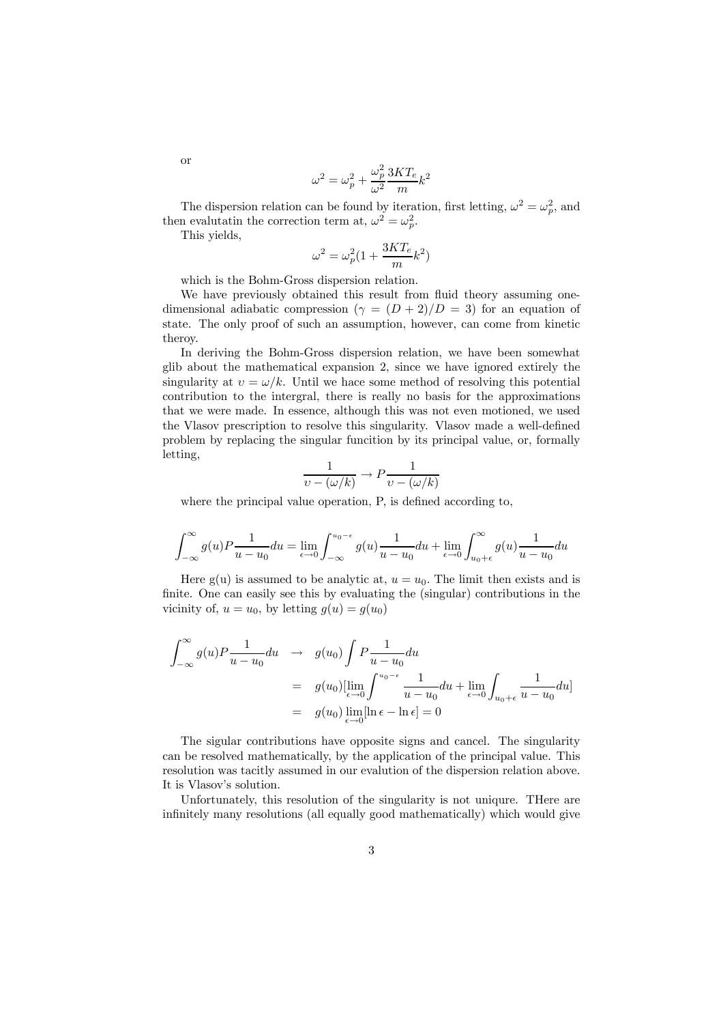$$
\omega^2 = \omega_p^2 + \frac{\omega_p^2}{\omega^2} \frac{3KT_e}{m} k^2
$$

The dispersion relation can be found by iteration, first letting,  $\omega^2 = \omega_p^2$ , and then evalutatin the correction term at,  $\omega^2 = \omega_p^2$ .

This yields,

$$
\omega^2 = \omega_p^2 (1 + \frac{3KT_e}{m}k^2)
$$

which is the Bohm-Gross dispersion relation.

We have previously obtained this result from fluid theory assuming onedimensional adiabatic compression  $(\gamma = (D + 2)/D = 3)$  for an equation of state. The only proof of such an assumption, however, can come from kinetic theroy.

In deriving the Bohm-Gross dispersion relation, we have been somewhat glib about the mathematical expansion 2, since we have ignored extirely the singularity at  $v = \omega/k$ . Until we hace some method of resolving this potential contribution to the intergral, there is really no basis for the approximations that we were made. In essence, although this was not even motioned, we used the Vlasov prescription to resolve this singularity. Vlasov made a well-defined problem by replacing the singular funcition by its principal value, or, formally letting,

$$
\frac{1}{v - (\omega/k)} \to P \frac{1}{v - (\omega/k)}
$$

where the principal value operation, P, is defined according to,

$$
\int_{-\infty}^{\infty} g(u) P \frac{1}{u - u_0} du = \lim_{\epsilon \to 0} \int_{-\infty}^{u_0 - \epsilon} g(u) \frac{1}{u - u_0} du + \lim_{\epsilon \to 0} \int_{u_0 + \epsilon}^{\infty} g(u) \frac{1}{u - u_0} du
$$

Here g(u) is assumed to be analytic at,  $u = u_0$ . The limit then exists and is finite. One can easily see this by evaluating the (singular) contributions in the vicinity of,  $u = u_0$ , by letting  $g(u) = g(u_0)$ 

$$
\int_{-\infty}^{\infty} g(u) P \frac{1}{u - u_0} du \rightarrow g(u_0) \int P \frac{1}{u - u_0} du
$$
  
=  $g(u_0) [\lim_{\epsilon \to 0} \int_{u - u_0}^{u_0 - \epsilon} \frac{1}{u - u_0} du + \lim_{\epsilon \to 0} \int_{u_0 + \epsilon} \frac{1}{u - u_0} du]$   
=  $g(u_0) \lim_{\epsilon \to 0} [\ln \epsilon - \ln \epsilon] = 0$ 

The sigular contributions have opposite signs and cancel. The singularity can be resolved mathematically, by the application of the principal value. This resolution was tacitly assumed in our evalution of the dispersion relation above. It is Vlasov's solution.

Unfortunately, this resolution of the singularity is not uniqure. THere are infinitely many resolutions (all equally good mathematically) which would give

or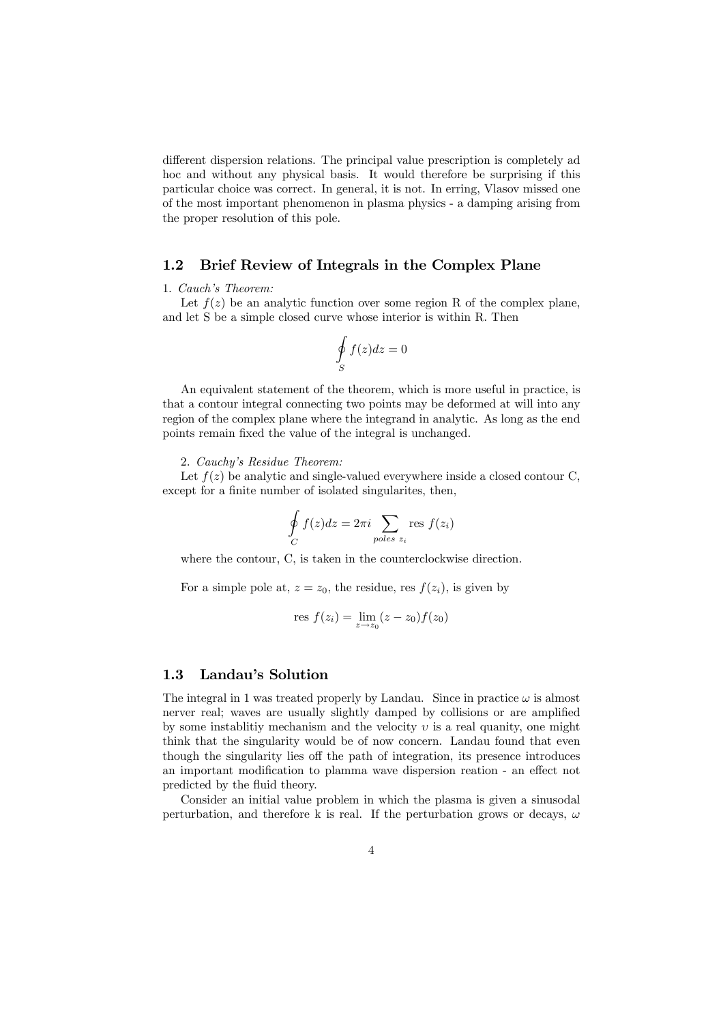different dispersion relations. The principal value prescription is completely ad hoc and without any physical basis. It would therefore be surprising if this particular choice was correct. In general, it is not. In erring, Vlasov missed one of the most important phenomenon in plasma physics - a damping arising from the proper resolution of this pole.

### 1.2 Brief Review of Integrals in the Complex Plane

#### 1. Cauch's Theorem:

Let  $f(z)$  be an analytic function over some region R of the complex plane, and let S be a simple closed curve whose interior is within R. Then

$$
\oint\limits_{S} f(z)dz = 0
$$

An equivalent statement of the theorem, which is more useful in practice, is that a contour integral connecting two points may be deformed at will into any region of the complex plane where the integrand in analytic. As long as the end points remain fixed the value of the integral is unchanged.

#### 2. Cauchy's Residue Theorem:

Let  $f(z)$  be analytic and single-valued everywhere inside a closed contour C, except for a finite number of isolated singularites, then,

$$
\oint_C f(z)dz = 2\pi i \sum_{poles z_i} \text{res } f(z_i)
$$

where the contour, C, is taken in the counterclockwise direction.

For a simple pole at,  $z = z_0$ , the residue, res  $f(z_i)$ , is given by

res 
$$
f(z_i) = \lim_{z \to z_0} (z - z_0) f(z_0)
$$

## 1.3 Landau's Solution

The integral in 1 was treated properly by Landau. Since in practice  $\omega$  is almost nerver real; waves are usually slightly damped by collisions or are amplified by some instablitiy mechanism and the velocity  $v$  is a real quanity, one might think that the singularity would be of now concern. Landau found that even though the singularity lies off the path of integration, its presence introduces an important modification to plamma wave dispersion reation - an effect not predicted by the fluid theory.

Consider an initial value problem in which the plasma is given a sinusodal perturbation, and therefore k is real. If the perturbation grows or decays,  $\omega$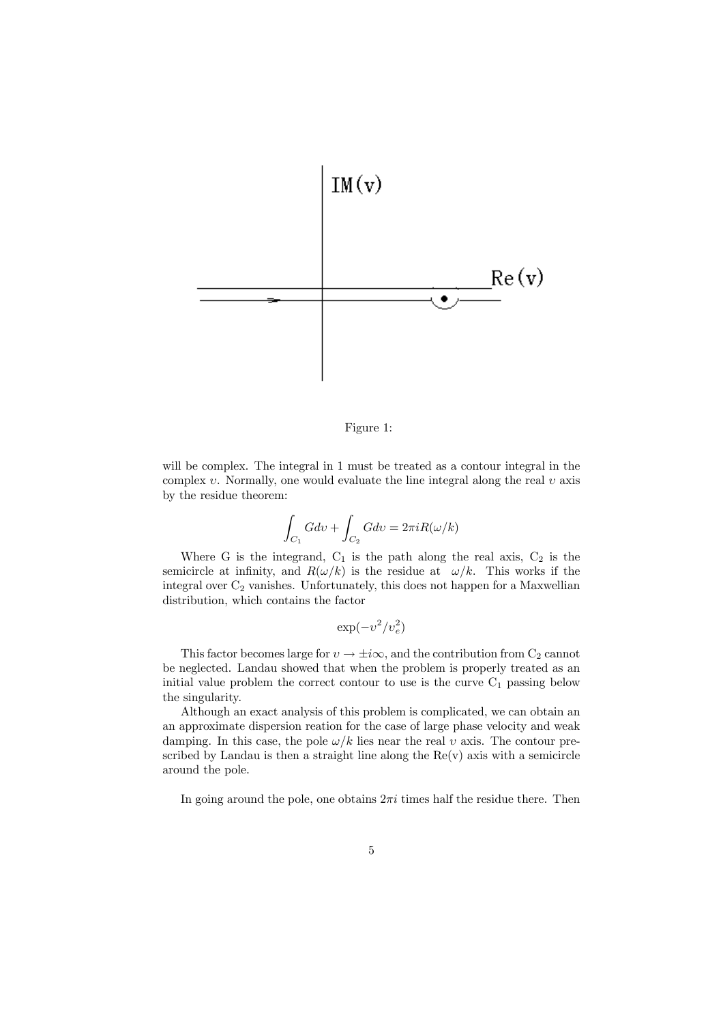

Figure 1:

will be complex. The integral in 1 must be treated as a contour integral in the complex  $v$ . Normally, one would evaluate the line integral along the real  $v$  axis by the residue theorem:

$$
\int_{C_1} G dv + \int_{C_2} G dv = 2\pi i R(\omega/k)
$$

Where G is the integrand,  $C_1$  is the path along the real axis,  $C_2$  is the semicircle at infinity, and  $R(\omega/k)$  is the residue at  $\omega/k$ . This works if the integral over  $\mathrm{C}_2$  vanishes. Unfortunately, this does not happen for a Maxwellian distribution, which contains the factor

$$
\exp(-v^2/v_e^2)
$$

This factor becomes large for  $v \to \pm i\infty$ , and the contribution from  $C_2$  cannot be neglected. Landau showed that when the problem is properly treated as an initial value problem the correct contour to use is the curve  $C_1$  passing below the singularity.

Although an exact analysis of this problem is complicated, we can obtain an an approximate dispersion reation for the case of large phase velocity and weak damping. In this case, the pole  $\omega/k$  lies near the real v axis. The contour prescribed by Landau is then a straight line along the  $Re(v)$  axis with a semicircle around the pole.

In going around the pole, one obtains  $2\pi i$  times half the residue there. Then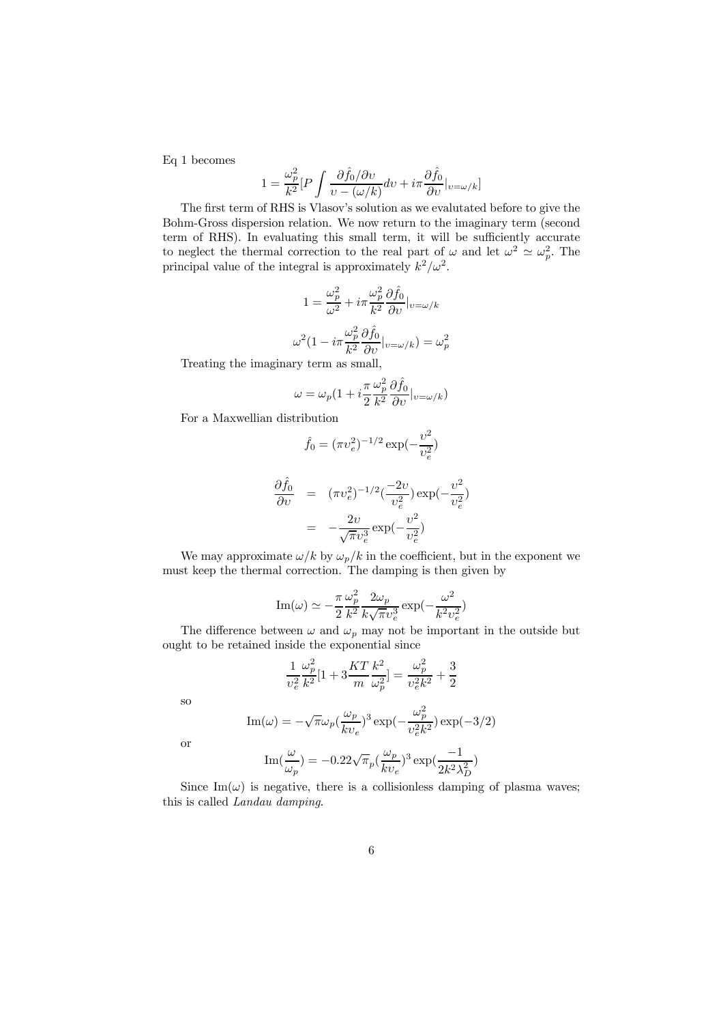Eq 1 becomes

$$
1 = \frac{\omega_p^2}{k^2} [P \int \frac{\partial \hat{f}_0 / \partial \upsilon}{\upsilon - (\omega/k)} d\upsilon + i \pi \frac{\partial \hat{f}_0}{\partial \upsilon} |_{\upsilon = \omega/k}]
$$

The first term of RHS is Vlasov's solution as we evalutated before to give the Bohm-Gross dispersion relation. We now return to the imaginary term (second term of RHS). In evaluating this small term, it will be sufficiently accurate to neglect the thermal correction to the real part of  $\omega$  and let  $\omega^2 \simeq \omega_p^2$ . The principal value of the integral is approximately  $k^2/\omega^2$ .

$$
1 = \frac{\omega_p^2}{\omega^2} + i\pi \frac{\omega_p^2}{k^2} \frac{\partial \hat{f}_0}{\partial v}|_{v=\omega/k}
$$

$$
\omega^2 (1 - i\pi \frac{\omega_p^2}{k^2} \frac{\partial \hat{f}_0}{\partial v}|_{v=\omega/k}) = \omega_p^2
$$

Treating the imaginary term as small,

$$
\omega = \omega_p (1 + i \frac{\pi}{2} \frac{\omega_p^2}{k^2} \frac{\partial \hat{f}_0}{\partial v} |_{v = \omega/k})
$$

For a Maxwellian distribution

$$
\hat{f}_0 = (\pi v_e^2)^{-1/2} \exp(-\frac{v^2}{v_e^2})
$$

$$
\frac{\partial \hat{f}_0}{\partial v} = (\pi v_e^2)^{-1/2} \left(\frac{-2v}{v_e^2}\right) \exp\left(-\frac{v^2}{v_e^2}\right)
$$

$$
= -\frac{2v}{\sqrt{\pi}v_e^3} \exp\left(-\frac{v^2}{v_e^2}\right)
$$

We may approximate  $\omega/k$  by  $\omega_p/k$  in the coefficient, but in the exponent we must keep the thermal correction. The damping is then given by

$$
\text{Im}(\omega)\simeq-\frac{\pi}{2}\frac{\omega_p^2}{k^2}\frac{2\omega_p}{k\sqrt{\pi}v_e^3}\exp(-\frac{\omega^2}{k^2v_e^2})
$$

The difference between  $\omega$  and  $\omega_p$  may not be important in the outside but ought to be retained inside the exponential since

$$
\frac{1}{v_e^2}\frac{\omega_p^2}{k^2}[1+3\frac{KT}{m}\frac{k^2}{\omega_p^2}]=\frac{\omega_p^2}{v_e^2k^2}+\frac{3}{2}
$$

so

$$
\text{Im}(\omega)=-\sqrt{\pi}\omega_p(\frac{\omega_p}{kv_e})^3\exp(-\frac{\omega_p^2}{v_e^2k^2})\exp(-3/2)
$$

or

$$
\operatorname{Im}(\frac{\omega}{\omega_p}) = -0.22\sqrt{\pi}_p(\frac{\omega_p}{kv_e})^3 \exp(\frac{-1}{2k^2\lambda_D^2})
$$

Since Im( $\omega$ ) is negative, there is a collisionless damping of plasma waves; this is called Landau damping.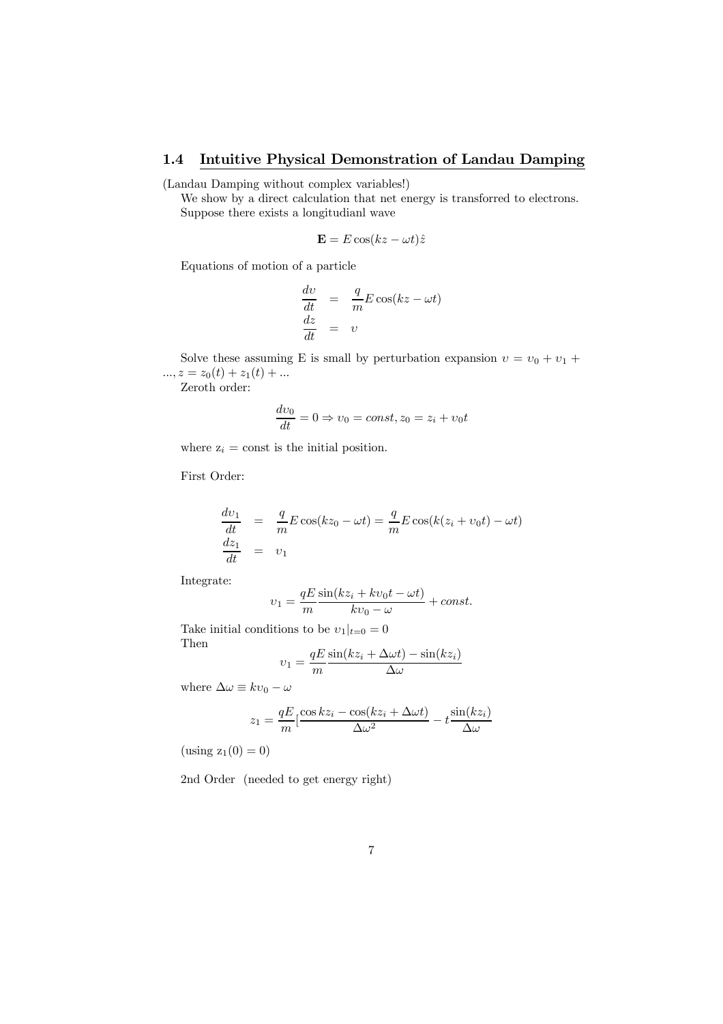# 1.4 Intuitive Physical Demonstration of Landau Damping

(Landau Damping without complex variables!)

We show by a direct calculation that net energy is transforred to electrons. Suppose there exists a longitudianl wave

$$
\mathbf{E} = E \cos(kz - \omega t)\hat{z}
$$

Equations of motion of a particle

$$
\begin{array}{rcl}\n\frac{dv}{dt} & = & \frac{q}{m} E \cos(kz - \omega t) \\
\frac{dz}{dt} & = & v\n\end{array}
$$

Solve these assuming E is small by perturbation expansion  $v = v_0 + v_1 +$  $..., z = z_0(t) + z_1(t) + ...$ 

Zeroth order:

$$
\frac{dv_0}{dt} = 0 \Rightarrow v_0 = const, z_0 = z_i + v_0 t
$$

where  $z_i = \text{const}$  is the initial position.

First Order:

$$
\frac{dv_1}{dt} = \frac{q}{m} E \cos(kz_0 - \omega t) = \frac{q}{m} E \cos(k(z_i + v_0 t) - \omega t)
$$
  

$$
\frac{dz_1}{dt} = v_1
$$

Integrate:

$$
v_1 = \frac{qE}{m} \frac{\sin(kz_i + kv_0t - \omega t)}{kv_0 - \omega} + const.
$$

Take initial conditions to be  $v_1|_{t=0} = 0$ Then sin $(x \cdot \lambda \cdot \lambda) = (x \cdot \lambda)$ 

$$
v_1 = \frac{qE\sin(kz_i + \Delta\omega t) - \sin(kz_i)}{\Delta\omega}
$$

where  $\Delta \omega \equiv k v_0 - \omega$ 

$$
z_1 = \frac{qE}{m} \left[ \frac{\cos kz_i - \cos(kz_i + \Delta \omega t)}{\Delta \omega^2} - t \frac{\sin(kz_i)}{\Delta \omega} \right]
$$

 $(x \sin g z_1(0) = 0)$ 

2nd Order (needed to get energy right)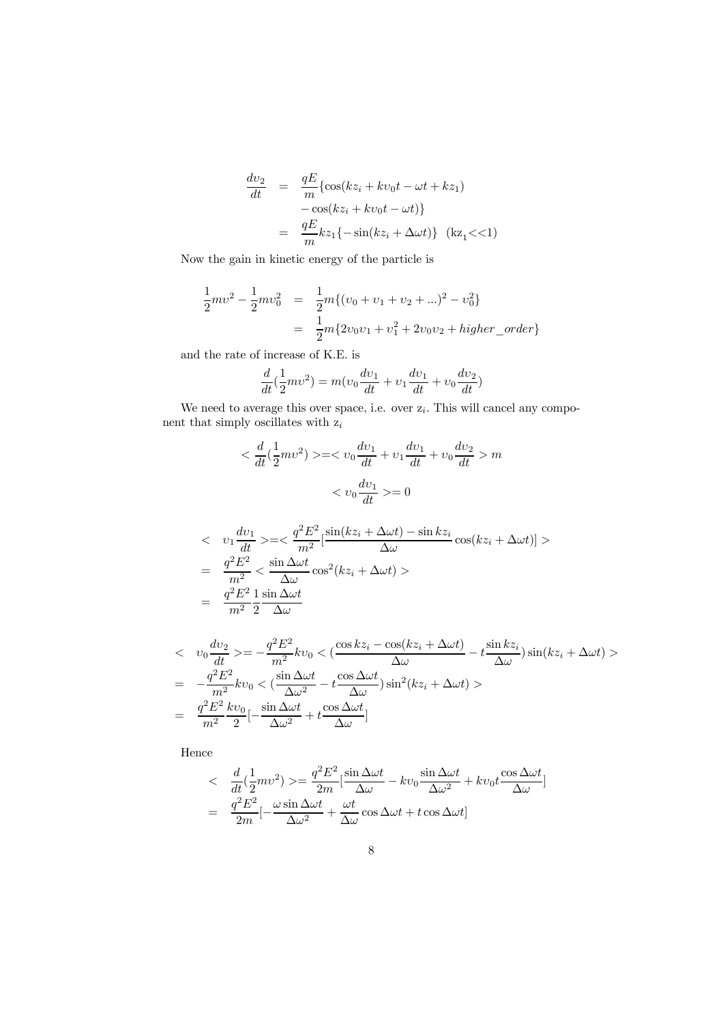$$
\frac{dv_2}{dt} = \frac{qE}{m} \{ \cos(kz_i + kv_0t - \omega t + kz_1) - \cos(kz_i + kv_0t - \omega t) \}
$$

$$
= \frac{qE}{m} kz_1 \{-\sin(kz_i + \Delta \omega t)\} \quad (kz_1 << 1)
$$

Now the gain in kinetic energy of the particle is

$$
\frac{1}{2}mv^2 - \frac{1}{2}mv_0^2 = \frac{1}{2}m\{(v_0 + v_1 + v_2 + ...) ^2 - v_0^2\}
$$

$$
= \frac{1}{2}m\{2v_0v_1 + v_1^2 + 2v_0v_2 + higher\_order\}
$$

and the rate of increase of K.E. is

$$
\frac{d}{dt}(\frac{1}{2}mv^2) = m(v_0\frac{dv_1}{dt} + v_1\frac{dv_1}{dt} + v_0\frac{dv_2}{dt})
$$

We need to average this over space, i.e. over  $z_i$ . This will cancel any component that simply oscillates with  $z_i$ 

$$
\langle \frac{d}{dt} \left( \frac{1}{2} m v^2 \right) \rangle = \langle v_0 \frac{dv_1}{dt} + v_1 \frac{dv_1}{dt} + v_0 \frac{dv_2}{dt} \rangle m
$$

$$
\langle v_0 \frac{dv_1}{dt} \rangle = 0
$$

$$
\langle v_1 \frac{dv_1}{dt} \rangle = \langle \frac{q^2 E^2}{m^2} [\frac{\sin(kz_i + \Delta \omega t) - \sin kz_i}{\Delta \omega} \cos(kz_i + \Delta \omega t)] \rangle
$$
  
= 
$$
\frac{q^2 E^2}{m^2} \langle \frac{\sin \Delta \omega t}{\Delta \omega} \cos^2(kz_i + \Delta \omega t) \rangle
$$
  
= 
$$
\frac{q^2 E^2}{m^2} \frac{1}{2} \frac{\sin \Delta \omega t}{\Delta \omega}
$$

$$
\begin{split}\n&\langle v_0 \frac{dv_2}{dt} \rangle = -\frac{q^2 E^2}{m^2} k v_0 \langle \frac{\cos kz_i - \cos(kz_i + \Delta \omega t)}{\Delta \omega} - t \frac{\sin kz_i}{\Delta \omega} \rangle \sin(kz_i + \Delta \omega t) \rangle \\
&= -\frac{q^2 E^2}{m^2} k v_0 \langle \frac{\sin \Delta \omega t}{\Delta \omega^2} - t \frac{\cos \Delta \omega t}{\Delta \omega} \rangle \sin^2(kz_i + \Delta \omega t) \rangle \\
&= \frac{q^2 E^2}{m^2} k v_0 \left[ -\frac{\sin \Delta \omega t}{\Delta \omega^2} + t \frac{\cos \Delta \omega t}{\Delta \omega} \right]\n\end{split}
$$

Hence

$$
\begin{split}\n&\leq\quad \frac{d}{dt} \left(\frac{1}{2}mv^2\right) > = \frac{q^2 E^2}{2m} \left[\frac{\sin \Delta \omega t}{\Delta \omega} - kv_0 \frac{\sin \Delta \omega t}{\Delta \omega^2} + kv_0 t \frac{\cos \Delta \omega t}{\Delta \omega}\right] \\
&= \frac{q^2 E^2}{2m} \left[-\frac{\omega \sin \Delta \omega t}{\Delta \omega^2} + \frac{\omega t}{\Delta \omega} \cos \Delta \omega t + t \cos \Delta \omega t\right]\n\end{split}
$$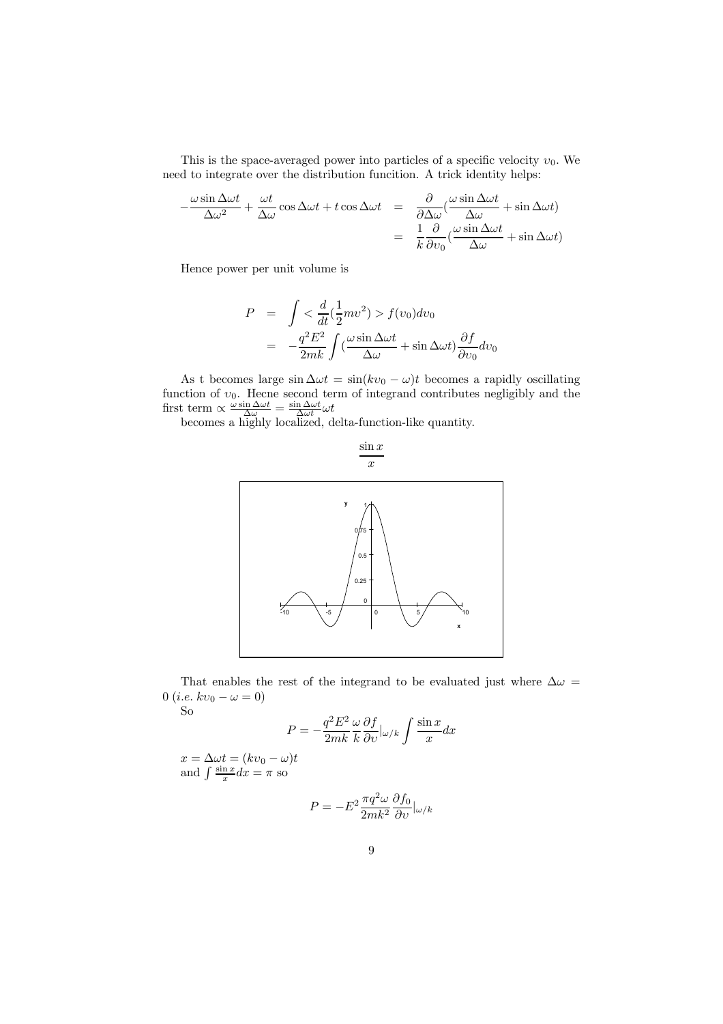This is the space-averaged power into particles of a specific velocity  $v_0$ . We need to integrate over the distribution funcition. A trick identity helps:

$$
-\frac{\omega \sin \Delta \omega t}{\Delta \omega^2} + \frac{\omega t}{\Delta \omega} \cos \Delta \omega t + t \cos \Delta \omega t = \frac{\partial}{\partial \Delta \omega} (\frac{\omega \sin \Delta \omega t}{\Delta \omega} + \sin \Delta \omega t)
$$

$$
= \frac{1}{k} \frac{\partial}{\partial v_0} (\frac{\omega \sin \Delta \omega t}{\Delta \omega} + \sin \Delta \omega t)
$$

Hence power per unit volume is

$$
P = \int < \frac{d}{dt} (\frac{1}{2}mv^2) > f(v_0)dv_0
$$
  
= 
$$
-\frac{q^2E^2}{2mk} \int (\frac{\omega \sin \Delta \omega t}{\Delta \omega} + \sin \Delta \omega t) \frac{\partial f}{\partial v_0} dv_0
$$

As t becomes large  $\sin \Delta \omega t = \sin(kv_0 - \omega)t$  becomes a rapidly oscillating function of  $v_0$ . Hecne second term of integrand contributes negligibly and the first term  $\propto \frac{\omega \sin \Delta \omega t}{\Delta \omega} = \frac{\sin \Delta \omega t}{\Delta \omega t} \omega t$ 

becomes a highly localized, delta-function-like quantity.



That enables the rest of the integrand to be evaluated just where  $\Delta\omega$  = 0 (*i.e.*  $kv_0 - \omega = 0$ ) So

$$
f_{\rm{max}}
$$

$$
P = -\frac{q^2 E^2}{2mk} \frac{\omega}{k} \frac{\partial f}{\partial v} |_{\omega/k} \int \frac{\sin x}{x} dx
$$

 $x = \Delta \omega t = (kv_0 - \omega)t$ and  $\int \frac{\sin x}{x} dx = \pi$  so

$$
P = -E^2 \frac{\pi q^2 \omega}{2mk^2} \frac{\partial f_0}{\partial v} |_{\omega/k}
$$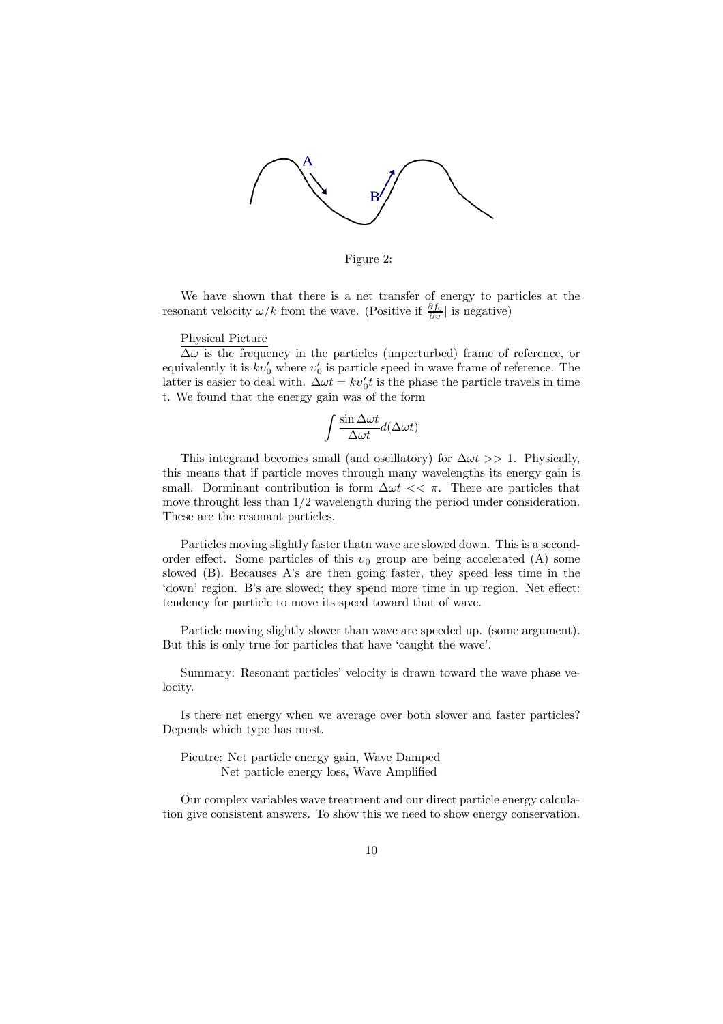

Figure 2:

We have shown that there is a net transfer of energy to particles at the resonant velocity  $\omega/k$  from the wave. (Positive if  $\frac{\partial f_0}{\partial v}$ ) is negative)

# Physical Picture

 $\Delta\omega$  is the frequency in the particles (unperturbed) frame of reference, or equivalently it is  $kv_0'$  where  $v_0'$  is particle speed in wave frame of reference. The latter is easier to deal with.  $\Delta \omega t = k v_0' t$  is the phase the particle travels in time t. We found that the energy gain was of the form

$$
\int \frac{\sin{\Delta \omega t}}{\Delta \omega t} d(\Delta \omega t)
$$

This integrand becomes small (and oscillatory) for  $\Delta \omega t >> 1$ . Physically, this means that if particle moves through many wavelengths its energy gain is small. Dorminant contribution is form  $\Delta \omega t \ll \pi$ . There are particles that move throught less than 1/2 wavelength during the period under consideration. These are the resonant particles.

Particles moving slightly faster thatn wave are slowed down. This is a secondorder effect. Some particles of this  $v_0$  group are being accelerated (A) some slowed (B). Becauses A's are then going faster, they speed less time in the 'down' region. B's are slowed; they spend more time in up region. Net effect: tendency for particle to move its speed toward that of wave.

Particle moving slightly slower than wave are speeded up. (some argument). But this is only true for particles that have 'caught the wave'.

Summary: Resonant particles' velocity is drawn toward the wave phase velocity.

Is there net energy when we average over both slower and faster particles? Depends which type has most.

Picutre: Net particle energy gain, Wave Damped Net particle energy loss, Wave Amplified

Our complex variables wave treatment and our direct particle energy calculation give consistent answers. To show this we need to show energy conservation.